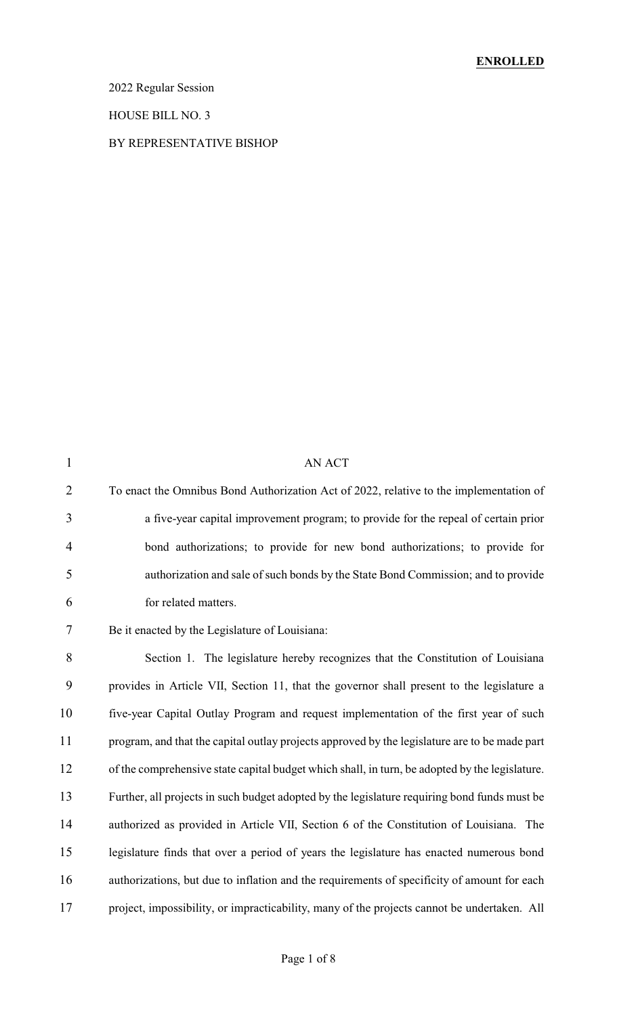2022 Regular Session

HOUSE BILL NO. 3

#### BY REPRESENTATIVE BISHOP

| $\mathbf{1}$   | AN ACT                                                                                         |
|----------------|------------------------------------------------------------------------------------------------|
| $\overline{2}$ | To enact the Omnibus Bond Authorization Act of 2022, relative to the implementation of         |
| 3              | a five-year capital improvement program; to provide for the repeal of certain prior            |
| $\overline{4}$ | bond authorizations; to provide for new bond authorizations; to provide for                    |
| 5              | authorization and sale of such bonds by the State Bond Commission; and to provide              |
| 6              | for related matters.                                                                           |
| $\tau$         | Be it enacted by the Legislature of Louisiana:                                                 |
| 8              | Section 1. The legislature hereby recognizes that the Constitution of Louisiana                |
| 9              | provides in Article VII, Section 11, that the governor shall present to the legislature a      |
| 10             | five-year Capital Outlay Program and request implementation of the first year of such          |
| 11             | program, and that the capital outlay projects approved by the legislature are to be made part  |
| 12             | of the comprehensive state capital budget which shall, in turn, be adopted by the legislature. |
| 13             | Further, all projects in such budget adopted by the legislature requiring bond funds must be   |
| 14             | authorized as provided in Article VII, Section 6 of the Constitution of Louisiana. The         |
| 15             | legislature finds that over a period of years the legislature has enacted numerous bond        |
| 16             | authorizations, but due to inflation and the requirements of specificity of amount for each    |
| 17             | project, impossibility, or impracticability, many of the projects cannot be undertaken. All    |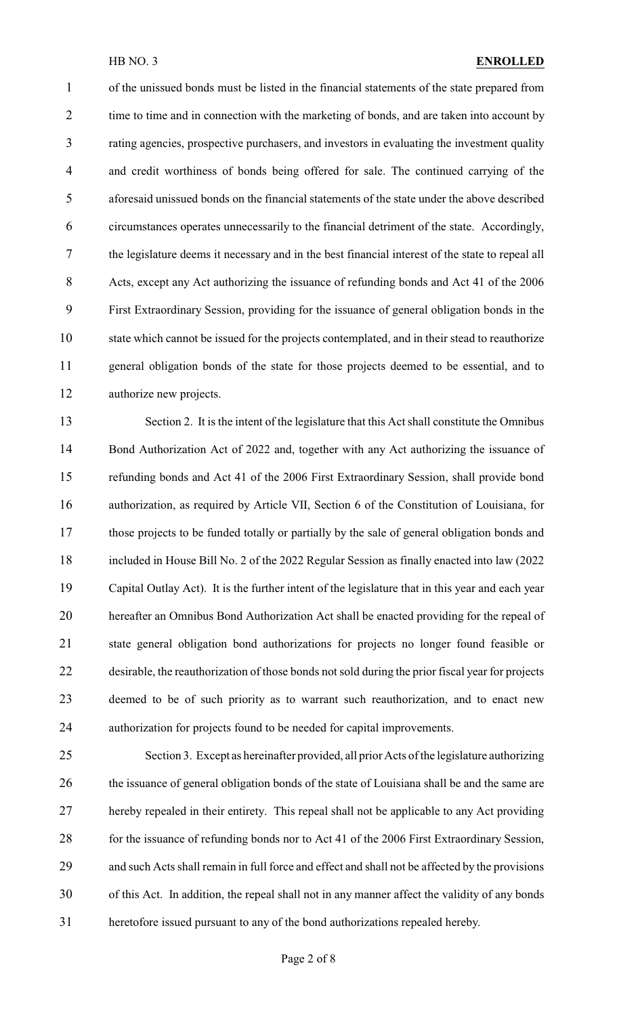of the unissued bonds must be listed in the financial statements of the state prepared from 2 time to time and in connection with the marketing of bonds, and are taken into account by rating agencies, prospective purchasers, and investors in evaluating the investment quality and credit worthiness of bonds being offered for sale. The continued carrying of the aforesaid unissued bonds on the financial statements of the state under the above described circumstances operates unnecessarily to the financial detriment of the state. Accordingly, the legislature deems it necessary and in the best financial interest of the state to repeal all Acts, except any Act authorizing the issuance of refunding bonds and Act 41 of the 2006 First Extraordinary Session, providing for the issuance of general obligation bonds in the

 state which cannot be issued for the projects contemplated, and in their stead to reauthorize general obligation bonds of the state for those projects deemed to be essential, and to authorize new projects.

 Section 2. It is the intent of the legislature that this Act shall constitute the Omnibus 14 Bond Authorization Act of 2022 and, together with any Act authorizing the issuance of refunding bonds and Act 41 of the 2006 First Extraordinary Session, shall provide bond authorization, as required by Article VII, Section 6 of the Constitution of Louisiana, for those projects to be funded totally or partially by the sale of general obligation bonds and included in House Bill No. 2 of the 2022 Regular Session as finally enacted into law (2022 Capital Outlay Act). It is the further intent of the legislature that in this year and each year hereafter an Omnibus Bond Authorization Act shall be enacted providing for the repeal of state general obligation bond authorizations for projects no longer found feasible or desirable, the reauthorization of those bonds not sold during the prior fiscal year for projects deemed to be of such priority as to warrant such reauthorization, and to enact new authorization for projects found to be needed for capital improvements.

 Section 3. Except as hereinafter provided, all prior Acts of the legislature authorizing 26 the issuance of general obligation bonds of the state of Louisiana shall be and the same are hereby repealed in their entirety. This repeal shall not be applicable to any Act providing 28 for the issuance of refunding bonds nor to Act 41 of the 2006 First Extraordinary Session, and such Acts shall remain in full force and effect and shall not be affected by the provisions of this Act. In addition, the repeal shall not in any manner affect the validity of any bonds heretofore issued pursuant to any of the bond authorizations repealed hereby.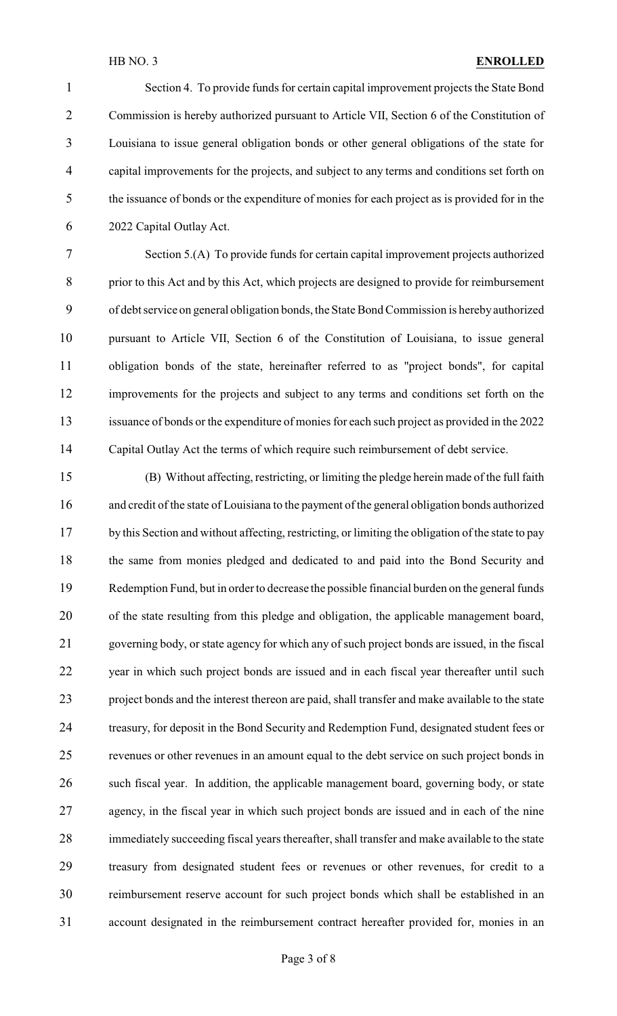Section 4. To provide funds for certain capital improvement projects the State Bond Commission is hereby authorized pursuant to Article VII, Section 6 of the Constitution of Louisiana to issue general obligation bonds or other general obligations of the state for capital improvements for the projects, and subject to any terms and conditions set forth on the issuance of bonds or the expenditure of monies for each project as is provided for in the 2022 Capital Outlay Act.

 Section 5.(A) To provide funds for certain capital improvement projects authorized prior to this Act and by this Act, which projects are designed to provide for reimbursement of debt service on general obligation bonds, the State Bond Commission is herebyauthorized pursuant to Article VII, Section 6 of the Constitution of Louisiana, to issue general obligation bonds of the state, hereinafter referred to as "project bonds", for capital improvements for the projects and subject to any terms and conditions set forth on the issuance of bonds or the expenditure of monies for each such project as provided in the 2022 Capital Outlay Act the terms of which require such reimbursement of debt service.

 (B) Without affecting, restricting, or limiting the pledge herein made of the full faith and credit of the state of Louisiana to the payment of the general obligation bonds authorized 17 by this Section and without affecting, restricting, or limiting the obligation of the state to pay the same from monies pledged and dedicated to and paid into the Bond Security and Redemption Fund, but in order to decrease the possible financial burden on the general funds of the state resulting from this pledge and obligation, the applicable management board, governing body, or state agency for which any of such project bonds are issued, in the fiscal year in which such project bonds are issued and in each fiscal year thereafter until such project bonds and the interest thereon are paid, shall transfer and make available to the state treasury, for deposit in the Bond Security and Redemption Fund, designated student fees or revenues or other revenues in an amount equal to the debt service on such project bonds in such fiscal year. In addition, the applicable management board, governing body, or state agency, in the fiscal year in which such project bonds are issued and in each of the nine immediately succeeding fiscal years thereafter, shall transfer and make available to the state treasury from designated student fees or revenues or other revenues, for credit to a reimbursement reserve account for such project bonds which shall be established in an account designated in the reimbursement contract hereafter provided for, monies in an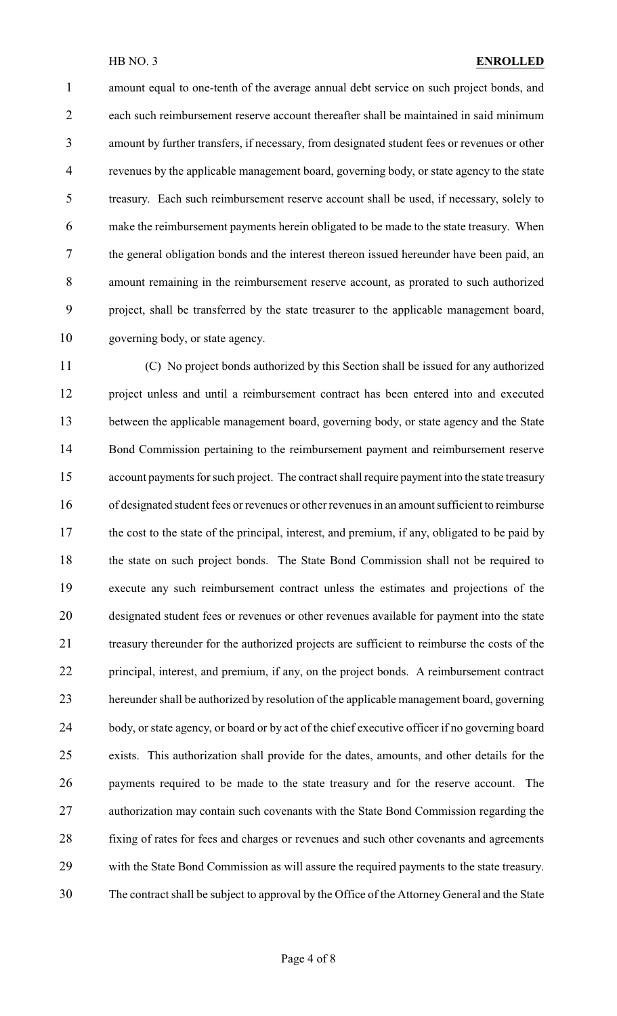amount equal to one-tenth of the average annual debt service on such project bonds, and each such reimbursement reserve account thereafter shall be maintained in said minimum amount by further transfers, if necessary, from designated student fees or revenues or other revenues by the applicable management board, governing body, or state agency to the state treasury. Each such reimbursement reserve account shall be used, if necessary, solely to make the reimbursement payments herein obligated to be made to the state treasury. When the general obligation bonds and the interest thereon issued hereunder have been paid, an amount remaining in the reimbursement reserve account, as prorated to such authorized project, shall be transferred by the state treasurer to the applicable management board, governing body, or state agency.

 (C) No project bonds authorized by this Section shall be issued for any authorized project unless and until a reimbursement contract has been entered into and executed between the applicable management board, governing body, or state agency and the State Bond Commission pertaining to the reimbursement payment and reimbursement reserve account payments for such project. The contract shall require payment into the state treasury of designated student fees or revenues or other revenues in an amount sufficient to reimburse 17 the cost to the state of the principal, interest, and premium, if any, obligated to be paid by the state on such project bonds. The State Bond Commission shall not be required to execute any such reimbursement contract unless the estimates and projections of the designated student fees or revenues or other revenues available for payment into the state treasury thereunder for the authorized projects are sufficient to reimburse the costs of the principal, interest, and premium, if any, on the project bonds. A reimbursement contract hereunder shall be authorized by resolution of the applicable management board, governing body, or state agency, or board or by act of the chief executive officer if no governing board exists. This authorization shall provide for the dates, amounts, and other details for the payments required to be made to the state treasury and for the reserve account. The authorization may contain such covenants with the State Bond Commission regarding the fixing of rates for fees and charges or revenues and such other covenants and agreements with the State Bond Commission as will assure the required payments to the state treasury. The contract shall be subject to approval by the Office of the Attorney General and the State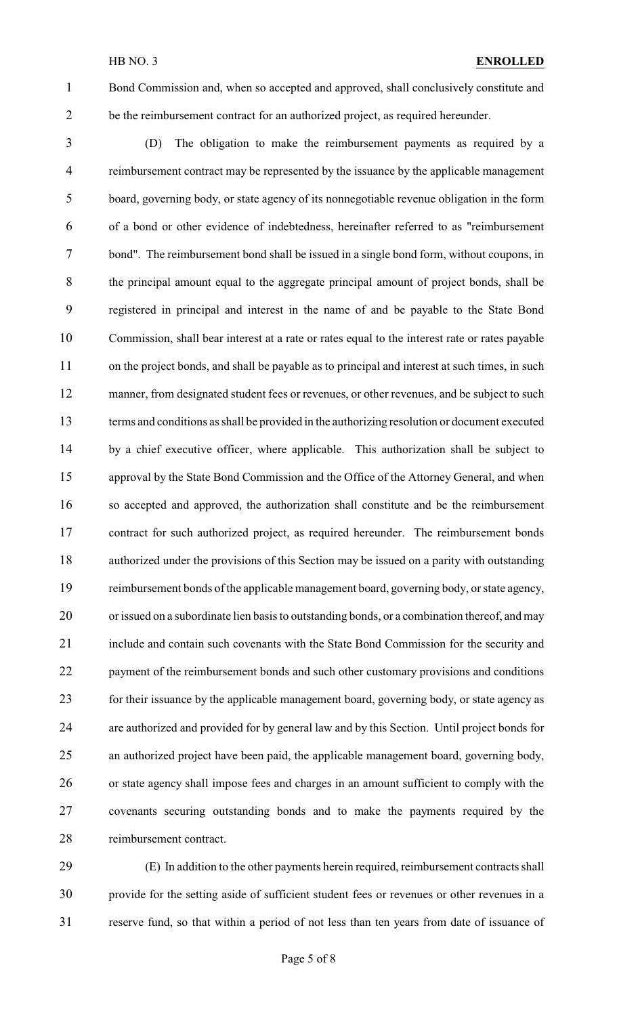Bond Commission and, when so accepted and approved, shall conclusively constitute and be the reimbursement contract for an authorized project, as required hereunder.

 (D) The obligation to make the reimbursement payments as required by a reimbursement contract may be represented by the issuance by the applicable management board, governing body, or state agency of its nonnegotiable revenue obligation in the form of a bond or other evidence of indebtedness, hereinafter referred to as "reimbursement bond". The reimbursement bond shall be issued in a single bond form, without coupons, in the principal amount equal to the aggregate principal amount of project bonds, shall be registered in principal and interest in the name of and be payable to the State Bond Commission, shall bear interest at a rate or rates equal to the interest rate or rates payable 11 on the project bonds, and shall be payable as to principal and interest at such times, in such 12 manner, from designated student fees or revenues, or other revenues, and be subject to such terms and conditions as shall be provided in the authorizing resolution or document executed by a chief executive officer, where applicable. This authorization shall be subject to approval by the State Bond Commission and the Office of the Attorney General, and when so accepted and approved, the authorization shall constitute and be the reimbursement contract for such authorized project, as required hereunder. The reimbursement bonds authorized under the provisions of this Section may be issued on a parity with outstanding reimbursement bonds of the applicable management board, governing body, or state agency, or issued on a subordinate lien basis to outstanding bonds, or a combination thereof, and may include and contain such covenants with the State Bond Commission for the security and 22 payment of the reimbursement bonds and such other customary provisions and conditions for their issuance by the applicable management board, governing body, or state agency as are authorized and provided for by general law and by this Section. Until project bonds for an authorized project have been paid, the applicable management board, governing body, or state agency shall impose fees and charges in an amount sufficient to comply with the covenants securing outstanding bonds and to make the payments required by the reimbursement contract.

 (E) In addition to the other payments herein required, reimbursement contracts shall provide for the setting aside of sufficient student fees or revenues or other revenues in a reserve fund, so that within a period of not less than ten years from date of issuance of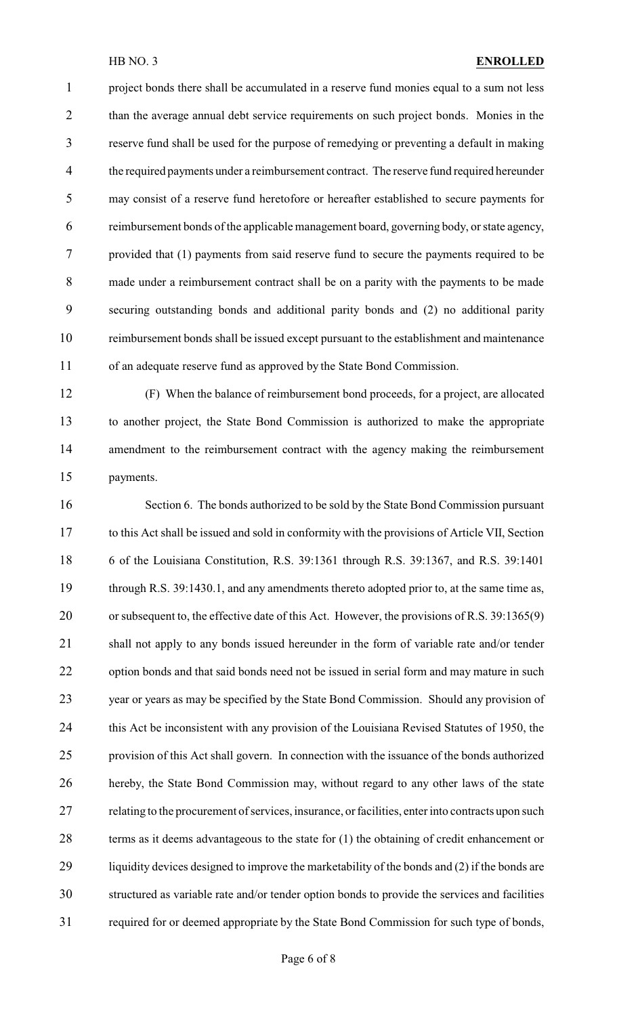project bonds there shall be accumulated in a reserve fund monies equal to a sum not less 2 than the average annual debt service requirements on such project bonds. Monies in the reserve fund shall be used for the purpose of remedying or preventing a default in making the required payments under a reimbursement contract. The reserve fund required hereunder may consist of a reserve fund heretofore or hereafter established to secure payments for reimbursement bonds of the applicable management board, governing body, or state agency, provided that (1) payments from said reserve fund to secure the payments required to be made under a reimbursement contract shall be on a parity with the payments to be made securing outstanding bonds and additional parity bonds and (2) no additional parity reimbursement bonds shall be issued except pursuant to the establishment and maintenance of an adequate reserve fund as approved by the State Bond Commission.

 (F) When the balance of reimbursement bond proceeds, for a project, are allocated to another project, the State Bond Commission is authorized to make the appropriate amendment to the reimbursement contract with the agency making the reimbursement payments.

 Section 6. The bonds authorized to be sold by the State Bond Commission pursuant to this Act shall be issued and sold in conformity with the provisions of Article VII, Section 6 of the Louisiana Constitution, R.S. 39:1361 through R.S. 39:1367, and R.S. 39:1401 through R.S. 39:1430.1, and any amendments thereto adopted prior to, at the same time as, 20 or subsequent to, the effective date of this Act. However, the provisions of R.S. 39:1365(9) 21 shall not apply to any bonds issued hereunder in the form of variable rate and/or tender 22 option bonds and that said bonds need not be issued in serial form and may mature in such year or years as may be specified by the State Bond Commission. Should any provision of 24 this Act be inconsistent with any provision of the Louisiana Revised Statutes of 1950, the provision of this Act shall govern. In connection with the issuance of the bonds authorized hereby, the State Bond Commission may, without regard to any other laws of the state 27 relating to the procurement of services, insurance, or facilities, enter into contracts upon such terms as it deems advantageous to the state for (1) the obtaining of credit enhancement or liquidity devices designed to improve the marketability of the bonds and (2) if the bonds are structured as variable rate and/or tender option bonds to provide the services and facilities required for or deemed appropriate by the State Bond Commission for such type of bonds,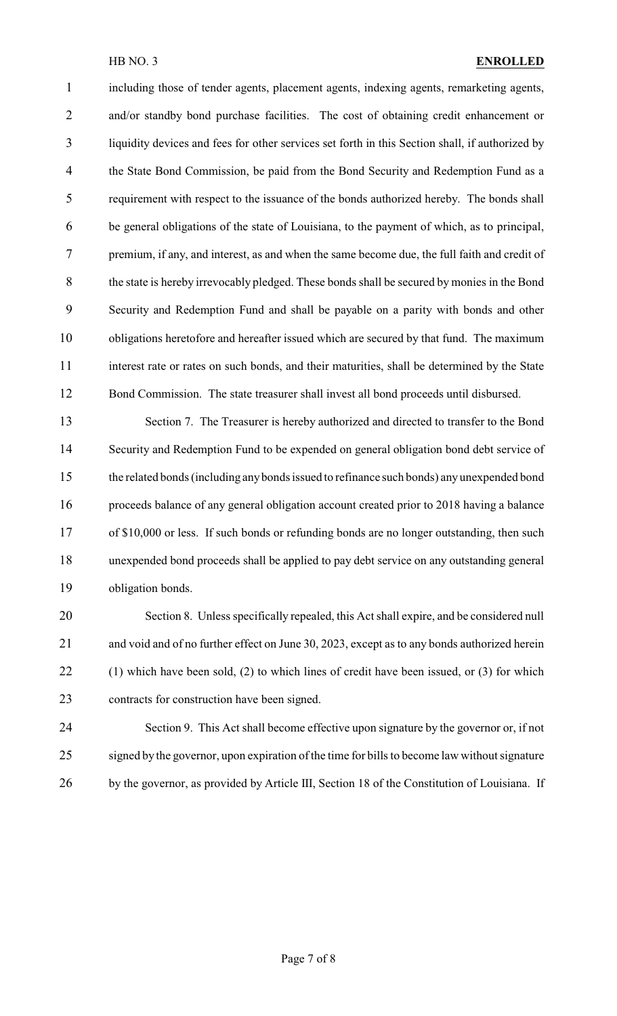including those of tender agents, placement agents, indexing agents, remarketing agents, and/or standby bond purchase facilities. The cost of obtaining credit enhancement or liquidity devices and fees for other services set forth in this Section shall, if authorized by the State Bond Commission, be paid from the Bond Security and Redemption Fund as a requirement with respect to the issuance of the bonds authorized hereby. The bonds shall be general obligations of the state of Louisiana, to the payment of which, as to principal, premium, if any, and interest, as and when the same become due, the full faith and credit of 8 the state is hereby irrevocably pledged. These bonds shall be secured by monies in the Bond Security and Redemption Fund and shall be payable on a parity with bonds and other obligations heretofore and hereafter issued which are secured by that fund. The maximum interest rate or rates on such bonds, and their maturities, shall be determined by the State Bond Commission. The state treasurer shall invest all bond proceeds until disbursed.

 Section 7. The Treasurer is hereby authorized and directed to transfer to the Bond Security and Redemption Fund to be expended on general obligation bond debt service of the related bonds (including anybonds issued to refinance such bonds) any unexpended bond proceeds balance of any general obligation account created prior to 2018 having a balance 17 of \$10,000 or less. If such bonds or refunding bonds are no longer outstanding, then such unexpended bond proceeds shall be applied to pay debt service on any outstanding general obligation bonds.

 Section 8. Unless specifically repealed, this Act shall expire, and be considered null and void and of no further effect on June 30, 2023, except as to any bonds authorized herein (1) which have been sold, (2) to which lines of credit have been issued, or (3) for which contracts for construction have been signed.

 Section 9. This Act shall become effective upon signature by the governor or, if not signed by the governor, upon expiration of the time for bills to become law without signature 26 by the governor, as provided by Article III, Section 18 of the Constitution of Louisiana. If